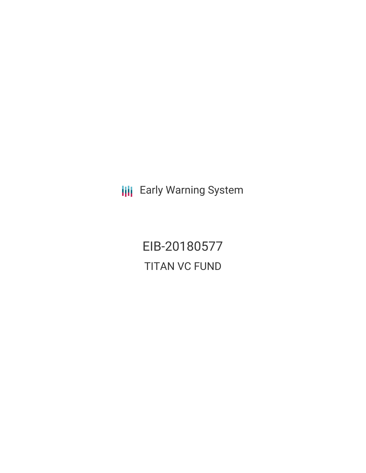**III** Early Warning System

EIB-20180577 TITAN VC FUND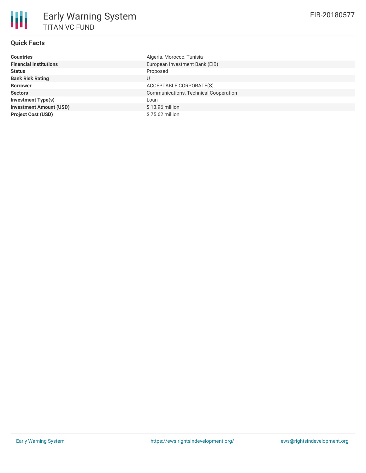# **Quick Facts**

| <b>Countries</b>               | Algeria, Morocco, Tunisia                    |
|--------------------------------|----------------------------------------------|
| <b>Financial Institutions</b>  | European Investment Bank (EIB)               |
| <b>Status</b>                  | Proposed                                     |
| <b>Bank Risk Rating</b>        | U                                            |
| <b>Borrower</b>                | ACCEPTABLE CORPORATE(S)                      |
| <b>Sectors</b>                 | <b>Communications, Technical Cooperation</b> |
| <b>Investment Type(s)</b>      | Loan                                         |
| <b>Investment Amount (USD)</b> | $$13.96$ million                             |
| <b>Project Cost (USD)</b>      | \$75.62 million                              |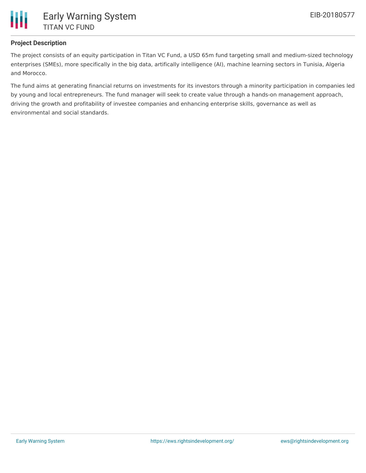

## **Project Description**

The project consists of an equity participation in Titan VC Fund, a USD 65m fund targeting small and medium-sized technology enterprises (SMEs), more specifically in the big data, artifically intelligence (AI), machine learning sectors in Tunisia, Algeria and Morocco.

The fund aims at generating financial returns on investments for its investors through a minority participation in companies led by young and local entrepreneurs. The fund manager will seek to create value through a hands-on management approach, driving the growth and profitability of investee companies and enhancing enterprise skills, governance as well as environmental and social standards.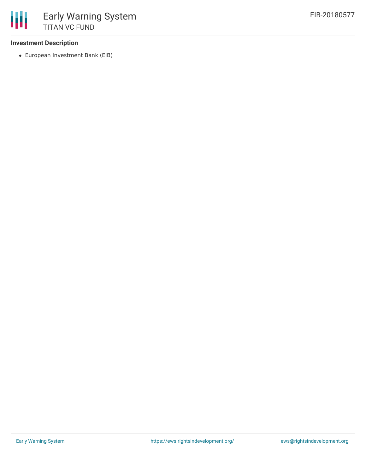#### **Investment Description**

European Investment Bank (EIB)